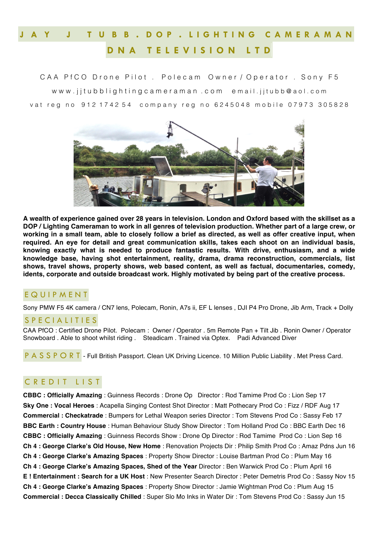## **J A Y J T U B B . D O P . L I G H T I N G C A M E R A M A N D N A T E L E V I S I O N L T D**

CAA PfCO Drone Pilot. Polecam Owner / Operator. Sony F5 www.jitubblightingcameraman.com email.jitubb@aol.com vat reg no 912 1742 54 company reg no 6245048 mobile 07973 305828



**A wealth of experience gained over 28 years in television. London and Oxford based with the skillset as a DOP / Lighting Cameraman to work in all genres of television production. Whether part of a large crew, or working in a small team, able to closely follow a brief as directed, as well as offer creative input, when required. An eye for detail and great communication skills, takes each shoot on an individual basis, knowing exactly what is needed to produce fantastic results. With drive, enthusiasm, and a wide knowledge base, having shot entertainment, reality, drama, drama reconstruction, commercials, list shows, travel shows, property shows, web based content, as well as factual, documentaries, comedy, idents, corporate and outside broadcast work. Highly motivated by being part of the creative process.**

## E Q U I P M E N T

Sony PMW F5 4K camera / CN7 lens, Polecam, Ronin, A7s ii, EF L lenses , DJI P4 Pro Drone, Jib Arm, Track + Dolly

## S P E C I A L I T I E S

CAA PfCO : Certified Drone Pilot. Polecam : Owner / Operator . 5m Remote Pan + Tilt Jib . Ronin Owner / Operator Snowboard . Able to shoot whilst riding . Steadicam . Trained via Optex. Padi Advanced Diver

P A S S P O R T - Full British Passport. Clean UK Driving Licence. 10 Million Public Liability . Met Press Card.

## C R E D I T L I S T

**CBBC : Officially Amazing** : Guinness Records : Drone Op Director : Rod Tamime Prod Co : Lion Sep 17 **Sky One : Vocal Heroes** : Acapella Singing Contest Shot Director : Matt Pothecary Prod Co : Fizz / RDF Aug 17 **Commercial : Checkatrade** : Bumpers for Lethal Weapon series Director : Tom Stevens Prod Co : Sassy Feb 17 **BBC Earth : Country House** : Human Behaviour Study Show Director : Tom Holland Prod Co : BBC Earth Dec 16 **CBBC : Officially Amazing** : Guinness Records Show : Drone Op Director : Rod Tamime Prod Co : Lion Sep 16 **Ch 4 : George Clarke's Old House, New Home** : Renovation Projects Dir : Philip Smith Prod Co : Amaz Pdns Jun 16 **Ch 4 : George Clarke's Amazing Spaces** : Property Show Director : Louise Bartman Prod Co : Plum May 16 **Ch 4 : George Clarke's Amazing Spaces, Shed of the Year** Director : Ben Warwick Prod Co : Plum April 16 **E ! Entertainment : Search for a UK Host** : New Presenter Search Director : Peter Demetris Prod Co : Sassy Nov 15 **Ch 4 : George Clarke's Amazing Spaces** : Property Show Director : Jamie Wightman Prod Co : Plum Aug 15 **Commercial : Decca Classically Chilled** : Super Slo Mo Inks in Water Dir : Tom Stevens Prod Co : Sassy Jun 15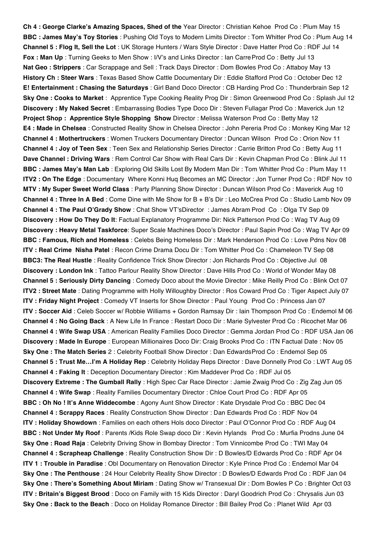**Ch 4 : George Clarke's Amazing Spaces, Shed of the** Year Director : Christian Kehoe Prod Co : Plum May 15 **BBC : James May's Toy Stories** : Pushing Old Toys to Modern Limits Director : Tom Whitter Prod Co : Plum Aug 14 **Channel 5 : Flog It, Sell the Lot** : UK Storage Hunters / Wars Style Director : Dave Hatter Prod Co : RDF Jul 14 **Fox : Man Up** : Turning Geeks to Men Show : I/V's and Links Director : Ian CarreProd Co : Betty Jul 13 **Nat Geo : Strippers** : Car Scrappage and Sell : Track Days Director : Dom Bowles Prod Co : Attaboy May 13 **History Ch : Steer Wars** : Texas Based Show Cattle Documentary Dir : Eddie Stafford Prod Co : October Dec 12 **E! Entertainment : Chasing the Saturdays** : Girl Band Doco Director : CB Harding Prod Co : Thunderbrain Sep 12 **Sky One : Cooks to Market** : Apprentice Type Cooking Reality Prog Dir : Simon Greenwood Prod Co : Splash Jul 12 **Discovery : My Naked Secret** : Embarrassing Bodies Type Doco Dir : Steven Fullagar Prod Co : Maverick Jun 12 **Project Shop : Apprentice Style Shopping Show** Director : Melissa Waterson Prod Co : Betty May 12 **E4 : Made in Chelsea** : Constructed Reality Show in Chelsea Director : John Pereria Prod Co : Monkey King Mar 12 **Channel 4 : Mothertruckers** : Women Truckers Documentary Director : Duncan Wilson Prod Co : Orion Nov 11 **Channel 4 : Joy of Teen Sex** : Teen Sex and Relationship Series Director : Carrie Britton Prod Co : Betty Aug 11 **Dave Channel : Driving Wars** : Rem Control Car Show with Real Cars Dir : Kevin Chapman Prod Co : Blink Jul 11 **BBC : James May's Man Lab** : Exploring Old Skills Lost By Modern Man Dir : Tom Whitter Prod Co : Plum May 11 **ITV2 : On The Edge** : Documentary Where Konni Huq Becomes an MC Director : Jon Turner Prod Co : RDF Nov 10 **MTV : My Super Sweet World Class** : Party Planning Show Director : Duncan Wilson Prod Co : Maverick Aug 10 **Channel 4 : Three In A Bed** : Come Dine with Me Show for B + B's Dir : Leo McCrea Prod Co : Studio Lamb Nov 09 **Channel 4 : The Paul O'Grady Show** : Chat Show VT'sDirector : James Abram Prod Co : Olga TV Sep 09 **Discovery : How Do They Do It**: Factual Explanatory Programme Dir: Nick Patterson Prod Co : Wag TV Aug 09 **Discovery : Heavy Metal Taskforce**: Super Scale Machines Doco's Director : Paul Sapin Prod Co : Wag TV Apr 09 **BBC : Famous, Rich and Homeless** : Celebs Being Homeless Dir : Mark Henderson Prod Co : Love Pdns Nov 08 **ITV : Real Crime Nisha Patel** : Recon Crime Drama Docu Dir : Tom Whitter Prod Co : Chameleon TV Sep 08 **BBC3: The Real Hustle** : Reality Confidence Trick Show Director : Jon Richards Prod Co : Objective Jul 08 **Discovery : London Ink** : Tattoo Parlour Reality Show Director : Dave Hills Prod Co : World of Wonder May 08 **Channel 5 : Seriously Dirty Dancing** : Comedy Doco about the Movie Director : Mike Reilly Prod Co : Blink Oct 07 **ITV2 : Street Mate** : Dating Programme with Holly Willoughby Director : Ros Coward Prod Co : Tiger Aspect July 07 **ITV : Friday Night Project** : Comedy VT Inserts for Show Director : Paul Young Prod Co : Princess Jan 07 **ITV : Soccer Aid** : Celeb Soccer w/ Robbie Williams + Gordon Ramsay Dir : Iain Thompson Prod Co : Endemol M 06 **Channel 4 : No Going Back** : A New Life In France : Restart Doco Dir : Marie Sylvester Prod Co : Ricochet Mar 06 **Channel 4 : Wife Swap USA** : American Reality Families Doco Director : Gemma Jordan Prod Co : RDF USA Jan 06 **Discovery : Made In Europe** : European Millionaires Doco Dir: Craig Brooks Prod Co : ITN Factual Date : Nov 05 **Sky One : The Match Series** 2 : Celebrity Football Show Director : Dan EdwardsProd Co : Endemol Sep 05 **Channel 5 : Trust Me…I'm A Holiday Rep** : Celebrity Holiday Reps Director : Dave Donnelly Prod Co : LWT Aug 05 **Channel 4 : Faking It** : Deception Documentary Director : Kim Maddever Prod Co : RDF Jul 05 **Discovery Extreme : The Gumball Rally** : High Spec Car Race Director : Jamie Zwaig Prod Co : Zig Zag Jun 05 **Channel 4 : Wife Swap** : Reality Families Documentary Director : Chloe Court Prod Co : RDF Apr 05 **BBC : Oh No ! It's Anne Widdecombe** : Agony Aunt Show Director : Kate Drysdale Prod Co : BBC Dec 04 **Channel 4 : Scrappy Races** : Reality Construction Show Director : Dan Edwards Prod Co : RDF Nov 04 **ITV : Holiday Showdown** : Families on each others Hols doco Director : Paul O'Connor Prod Co : RDF Aug 04 **BBC : Not Under My Roof** : Parents /Kids Role Swap doco Dir : Kevin Hylands Prod Co : Murfia Prodns June 04 **Sky One : Road Raja** : Celebrity Driving Show in Bombay Director : Tom Vinnicombe Prod Co : TWI May 04 **Channel 4 : Scrapheap Challenge** : Reality Construction Show Dir : D Bowles/D Edwards Prod Co : RDF Apr 04 **ITV 1 : Trouble in Paradise** : Obl Documentary on Renovation Director : Kyle Prince Prod Co : Endemol Mar 04 **Sky One : The Penthouse** : 24 Hour Celebrity Reality Show Director : D Bowles/D Edwards Prod Co : RDF Jan 04 **Sky One : There's Something About Miriam** : Dating Show w/ Transexual Dir : Dom Bowles P Co : Brighter Oct 03 **ITV : Britain's Biggest Brood** : Doco on Family with 15 Kids Director : Daryl Goodrich Prod Co : Chrysalis Jun 03 **Sky One : Back to the Beach** : Doco on Holiday Romance Director : Bill Bailey Prod Co : Planet Wild Apr 03